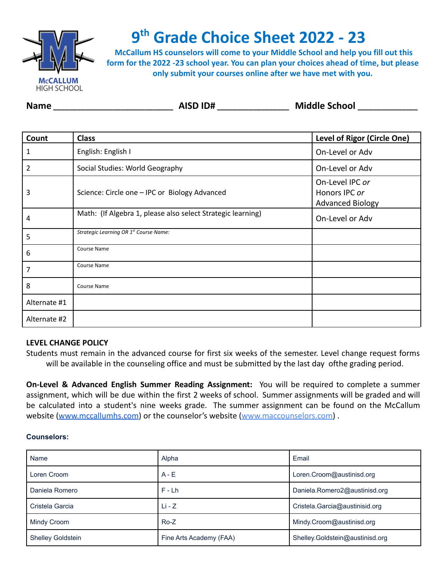

# **9 th Grade Choice Sheet 2022 - 23**

**McCallum HS counselors will come to your Middle School and help you fill out this form for the 2022 -23 school year. You can plan your choices ahead of time, but please only submit your courses online after we have met with you.**

| <b>Name</b> | <b>AISD ID#</b> | <b>Middle School</b> |
|-------------|-----------------|----------------------|
|-------------|-----------------|----------------------|

| Count        | <b>Class</b>                                                | Level of Rigor (Circle One)                                 |
|--------------|-------------------------------------------------------------|-------------------------------------------------------------|
| 1            | English: English I                                          | On-Level or Adv                                             |
| 2            | Social Studies: World Geography                             | On-Level or Adv                                             |
| 3            | Science: Circle one - IPC or Biology Advanced               | On-Level IPC or<br>Honors IPC or<br><b>Advanced Biology</b> |
| 4            | Math: (If Algebra 1, please also select Strategic learning) | On-Level or Adv                                             |
| 5            | Strategic Learning OR 1 <sup>st</sup> Course Name:          |                                                             |
| 6            | Course Name                                                 |                                                             |
| 7            | Course Name                                                 |                                                             |
| 8            | Course Name                                                 |                                                             |
| Alternate #1 |                                                             |                                                             |
| Alternate #2 |                                                             |                                                             |

# **LEVEL CHANGE POLICY**

Students must remain in the advanced course for first six weeks of the semester. Level change request forms will be available in the counseling office and must be submitted by the last day ofthe grading period.

**On-Level & Advanced English Summer Reading Assignment:** You will be required to complete a summer assignment, which will be due within the first 2 weeks of school. Summer assignments will be graded and will be calculated into a student's nine weeks grade. The summer assignment can be found on the McCallum website [\(www.mccallumhs.com](http://www.mccallumhs.com)) or the counselor's website (www.maccounselors.com).

#### **Counselors:**

| Name                     | Alpha                   | Email                           |
|--------------------------|-------------------------|---------------------------------|
| Loren Croom              | $A - E$                 | Loren.Croom@austinisd.org       |
| Daniela Romero           | $F-Lh$                  | Daniela.Romero2@austinisd.org   |
| Cristela Garcia          | $Li - Z$                | Cristela.Garcia@austinisid.org  |
| Mindy Croom              | $Ro-Z$                  | Mindy.Croom@austinisd.org       |
| <b>Shelley Goldstein</b> | Fine Arts Academy (FAA) | Shelley.Goldstein@austinisd.org |